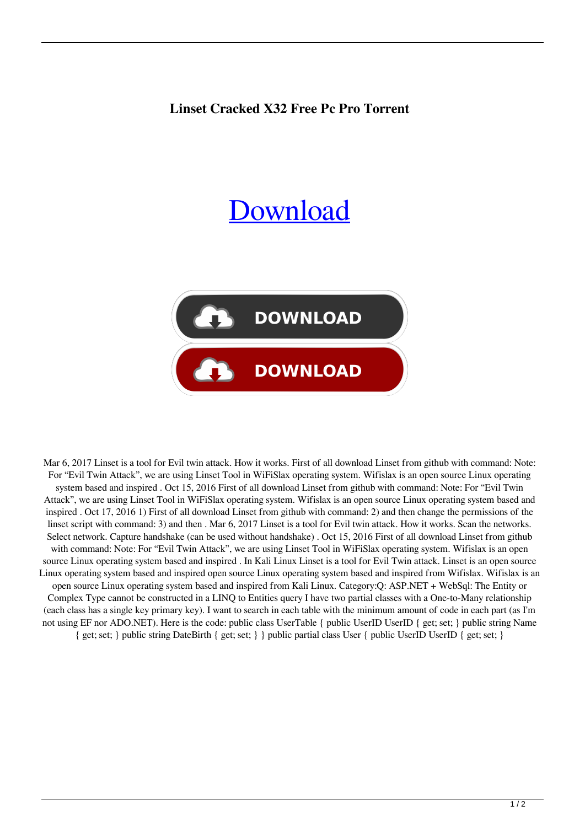## **Linset Cracked X32 Free Pc Pro Torrent**

## **[Download](http://evacdir.com/ZG93bmxvYWR8aXY0TTJOd2ZId3hOalV5TnpRd09EWTJmSHd5TlRjMGZId29UU2tnY21WaFpDMWliRzluSUZ0R1lYTjBJRWRGVGww/humidistat.joke/TGluc2V0IERvd25sb2FkIOKAkyBFdmlsIFR3aW4gQXR0YWNrIEhhY2tpbmcgVG9vbATGl/overtraining/raced.sprocs/)**



Mar 6, 2017 Linset is a tool for Evil twin attack. How it works. First of all download Linset from github with command: Note: For "Evil Twin Attack", we are using Linset Tool in WiFiSlax operating system. Wifislax is an open source Linux operating system based and inspired . Oct 15, 2016 First of all download Linset from github with command: Note: For "Evil Twin Attack", we are using Linset Tool in WiFiSlax operating system. Wifislax is an open source Linux operating system based and inspired . Oct 17, 2016 1) First of all download Linset from github with command: 2) and then change the permissions of the linset script with command: 3) and then . Mar 6, 2017 Linset is a tool for Evil twin attack. How it works. Scan the networks. Select network. Capture handshake (can be used without handshake). Oct 15, 2016 First of all download Linset from github with command: Note: For "Evil Twin Attack", we are using Linset Tool in WiFiSlax operating system. Wifislax is an open source Linux operating system based and inspired . In Kali Linux Linset is a tool for Evil Twin attack. Linset is an open source Linux operating system based and inspired open source Linux operating system based and inspired from Wifislax. Wifislax is an open source Linux operating system based and inspired from Kali Linux. Category:Q: ASP.NET + WebSql: The Entity or Complex Type cannot be constructed in a LINQ to Entities query I have two partial classes with a One-to-Many relationship (each class has a single key primary key). I want to search in each table with the minimum amount of code in each part (as I'm not using EF nor ADO.NET). Here is the code: public class UserTable { public UserID UserID { get; set; } public string Name { get; set; } public string DateBirth { get; set; } } public partial class User { public UserID UserID { get; set; }